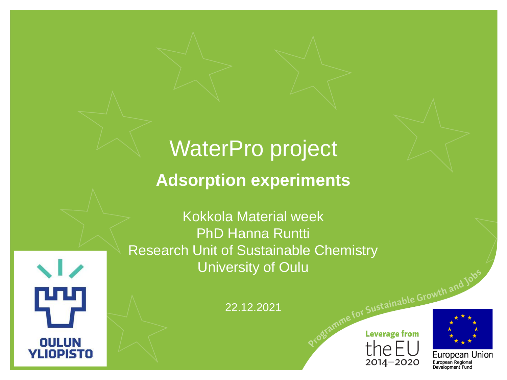# WaterPro project

### **Adsorption experiments**

Kokkola Material week PhD Hanna Runtti Research Unit of Sustainable Chemistry University of Oulu

 $\sqrt{2}$ 

**OULUN YLIOPISTO**  22.12.2021





European Union European Regional Development Fund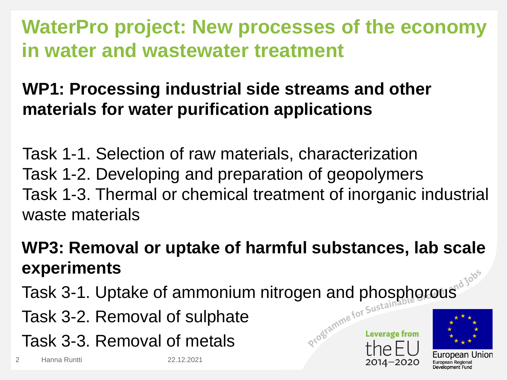### **WaterPro project: New processes of the economy in water and wastewater treatment**

### **WP1: Processing industrial side streams and other materials for water purification applications**

Task 1-1. Selection of raw materials, characterization Task 1-2. Developing and preparation of geopolymers Task 1-3. Thermal or chemical treatment of inorganic industrial waste materials

### **WP3: Removal or uptake of harmful substances, lab scale experiments**

- Task 3-1. Uptake of ammonium nitrogen and phosphorous<sup>d 100</sup><sup>3</sup><br>Task 3-2. Removal of sulphate<br>Task 3-3. Person
- Task 3-2. Removal of sulphate
- Task 3-3. Removal of metals

2 Hanna Runtti 22.12.2021

Leverage from

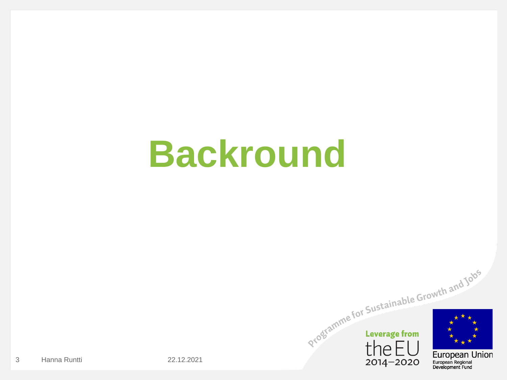# **Backround**

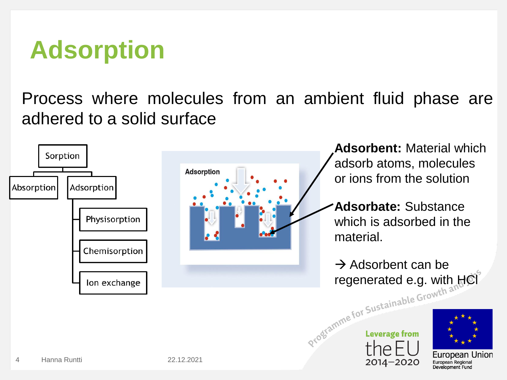# **Adsorption**

Process where molecules from an ambient fluid phase are adhered to a solid surface



2014-2020

European Regional Development Fund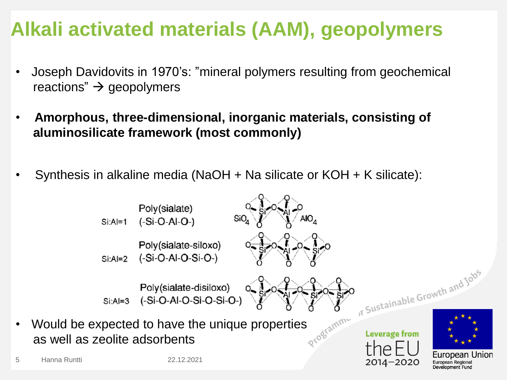### **Alkali activated materials (AAM), geopolymers**

- Joseph Davidovits in 1970's: "mineral polymers resulting from geochemical reactions"  $\rightarrow$  geopolymers
- **Amorphous, three-dimensional, inorganic materials, consisting of aluminosilicate framework (most commonly)**
- Synthesis in alkaline media (NaOH + Na silicate or KOH + K silicate):

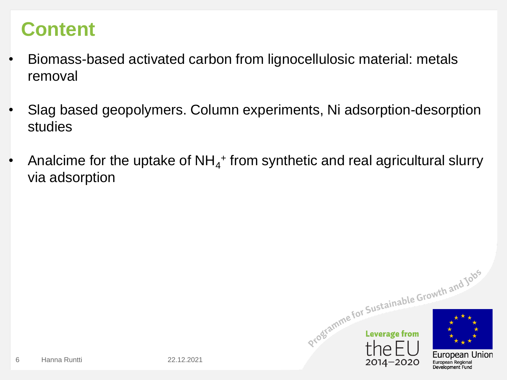### **Content**

- Biomass-based activated carbon from lignocellulosic material: metals removal
- Slag based geopolymers. Column experiments, Ni adsorption-desorption studies
- Analcime for the uptake of  $NH_4$ <sup>+</sup> from synthetic and real agricultural slurry via adsorption

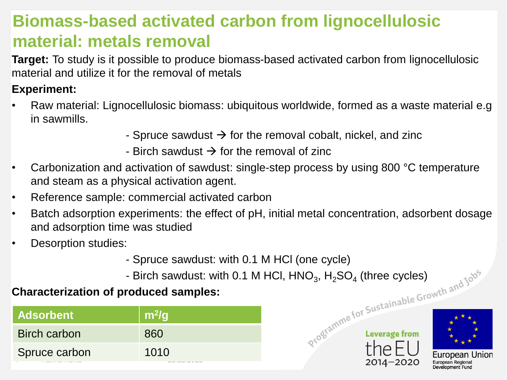### **Biomass-based activated carbon from lignocellulosic material: metals removal**

**Target:** To study is it possible to produce biomass-based activated carbon from lignocellulosic material and utilize it for the removal of metals

#### **Experiment:**

- Raw material: Lignocellulosic biomass: ubiquitous worldwide, formed as a waste material e.g in sawmills.
	- Spruce sawdust  $\rightarrow$  for the removal cobalt, nickel, and zinc
	- Birch sawdust  $\rightarrow$  for the removal of zinc
- Carbonization and activation of sawdust: single-step process by using 800 °C temperature and steam as a physical activation agent.
- Reference sample: commercial activated carbon
- Batch adsorption experiments: the effect of pH, initial metal concentration, adsorbent dosage and adsorption time was studied
- Desorption studies:
	- Spruce sawdust: with 0.1 M HCl (one cycle)
	- Birch sawdust: with 0.1 M HCl,  $HNO<sub>3</sub>$ ,  $H<sub>2</sub>SO<sub>4</sub>$  (three cycles) ,  $H<sub>2</sub>SO<sub>4</sub>$  (three cycles)

#### **Characterization of produced samples:**

| <b>Adsorbent</b>    | $\mid$ m <sup>2</sup> /g |
|---------------------|--------------------------|
| <b>Birch carbon</b> | 860                      |
| Spruce carbon       | 1010<br>--------         |



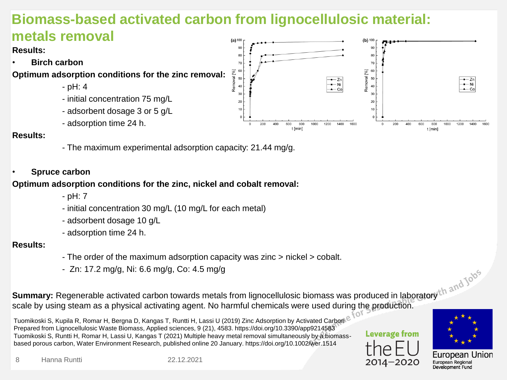### **Biomass-based activated carbon from lignocellulosic material:**

#### **metals removal**

**Results:** 

• **Birch carbon**

**Optimum adsorption conditions for the zinc removal:**

- pH: 4
- initial concentration 75 mg/L
- adsorbent dosage 3 or 5 g/L
- adsorption time 24 h.

#### **Results:**

- The maximum experimental adsorption capacity: 21.44 mg/g.

#### • **Spruce carbon**

#### **Optimum adsorption conditions for the zinc, nickel and cobalt removal:**

- pH: 7
- initial concentration 30 mg/L (10 mg/L for each metal)
- adsorbent dosage 10 g/L
- adsorption time 24 h.

#### **Results:**

- The order of the maximum adsorption capacity was zinc > nickel > cobalt.
- Zn: 17.2 mg/g, Ni: 6.6 mg/g, Co: 4.5 mg/g

**Summary:** Regenerable activated carbon towards metals from lignocellulosic biomass was produced in laboratory scale by using steam as a physical activating agent. No harmful chemicals were used during the production.

Tuomikoski S, Kupila R, Romar H, Bergna D, Kangas T, Runtti H, Lassi U (2019) Zinc Adsorption by Activated Carbon Prepared from Lignocellulosic Waste Biomass, Applied sciences, 9 (21), 4583. https://doi.org/10.3390/app9214583 Tuomikoski S, Runtti H, Romar H, Lassi U, Kangas T (2021) Multiple heavy metal removal simultaneously by a biomassbased porous carbon, Water Environment Research, published online 20 January. https://doi.org/10.1002/wer.1514





Development Fund

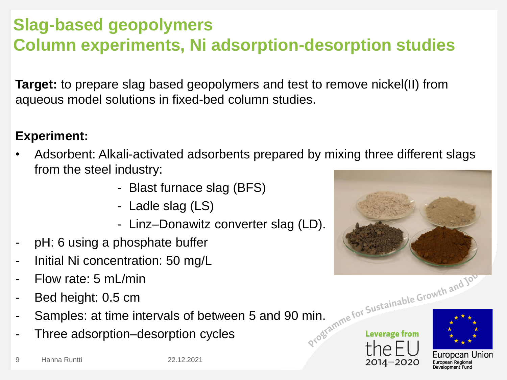### **Slag-based geopolymers Column experiments, Ni adsorption-desorption studies**

**Target:** to prepare slag based geopolymers and test to remove nickel(II) from aqueous model solutions in fixed-bed column studies.

#### **Experiment:**

- Adsorbent: Alkali-activated adsorbents prepared by mixing three different slags from the steel industry:
	- Blast furnace slag (BFS)
	- Ladle slag (LS)
	- Linz–Donawitz converter slag (LD).
- pH: 6 using a phosphate buffer
- Initial Ni concentration: 50 mg/L
- Flow rate: 5 mL/min
- Bed height: 0.5 cm
- Samples: at time intervals of between 5 and 90 min. Three adsorption-desorption cycles
- Three adsorption–desorption cycles



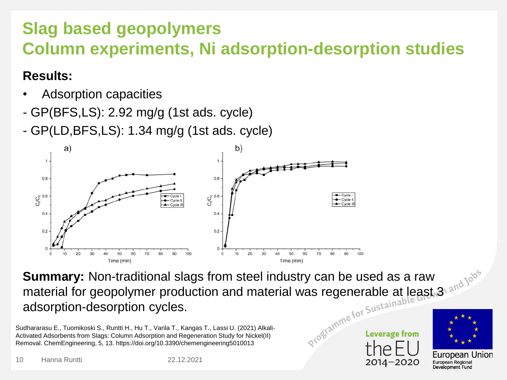### **Slag based geopolymers Column experiments, Ni adsorption-desorption studies**

#### **Results:**

- Adsorption capacities
- GP(BFS,LS): 2.92 mg/g (1st ads. cycle)
- GP(LD,BFS,LS): 1.34 mg/g (1st ads. cycle)



**Summary:** Non-traditional slags from steel industry can be used as a raw material for geopolymer production and material was regenerable at least.<sup>3</sup> adsorption-desorption cycles.

Sudhararasu E., Tuomikoski S., Runtti H., Hu T., Varila T., Kangas T., Lassi U. (2021) Alkali-Activated Adsorbents from Slags: Column Adsorption and Regeneration Study for Nickel(II) Removal. ChemEngineering, 5, 13. https://doi.org/10.3390/chemengineering5010013

10 Hanna Runtti 22.12.2021

Leverage from



European Regional Development Fund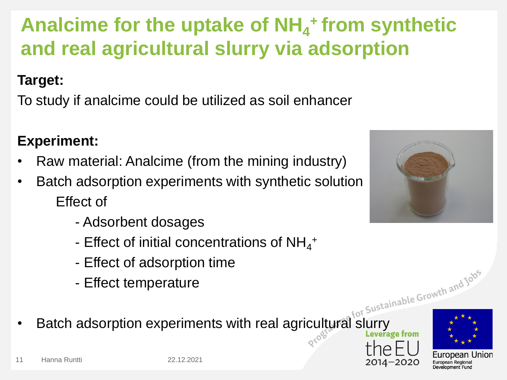

# Analcime for the uptake of NH<sub>4</sub><sup>+</sup> from synthetic **and real agricultural slurry via adsorption**

### **Target:**

To study if analcime could be utilized as soil enhancer

### **Experiment:**

- Raw material: Analcime (from the mining industry)
- Batch adsorption experiments with synthetic solution Effect of
	- Adsorbent dosages
	- Effect of initial concentrations of  $NH_4^+$
	- Effect of adsorption time
	- Effect temperature
- Batch adsorption experiments with real agricultural slurry

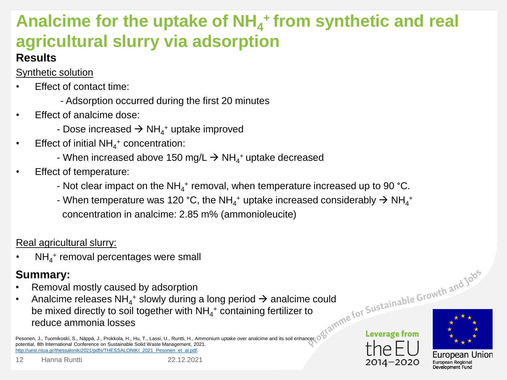## **Analcime for the uptake of NH<sup>4</sup> <sup>+</sup>from synthetic and real agricultural slurry via adsorption**

#### **Results**

Synthetic solution

- **Effect of contact time:** 
	- Adsorption occurred during the first 20 minutes
- Effect of analcime dose:
	- Dose increased  $\Rightarrow$  NH<sub>4</sub>+ uptake improved
- **•** Effect of initial  $NH_4$ <sup>+</sup> concentration:
	- When increased above 150 mg/L  $\rightarrow$  NH $_4^+$ uptake decreased
- **Effect of temperature:** 
	- Not clear impact on the NH<sub>4</sub>+ removal, when temperature increased up to 90 °C.
	- When temperature was 120 °C, the NH<sub>4</sub><sup>+</sup> uptake increased considerably  $\rightarrow$  NH<sub>4</sub><sup>+</sup> concentration in analcime: 2.85 m% (ammonioleucite)

#### Real agricultural slurry:

• NH<sub>4</sub><sup>+</sup> removal percentages were small

#### **Summary:**

- Removal mostly caused by adsorption
- Analcime releases NH<sub>4</sub><sup>+</sup> slowly during a long period  $\rightarrow$  analcime could be mixed directly to soil together with  $\mathsf{NH}_4{}^+$  containing fertilizer to reduce ammonia losses

Pesonen, J., Tuomikoski, S., Näppä, J., Prokkola, H., Hu, T., Lassi, U., Runtti, H., Ammonium uptake over analcime and its soil enhancer potential, 8th International Conference on Sustainable Solid Waste Management, 2021. [http://uest.ntua.gr/thessaloniki2021/pdfs/THESSALONIKI\\_2021\\_Pesonen\\_et\\_al.pdf.](http://uest.ntua.gr/thessaloniki2021/pdfs/THESSALONIKI_2021_Pesonen_et_al.pdf)



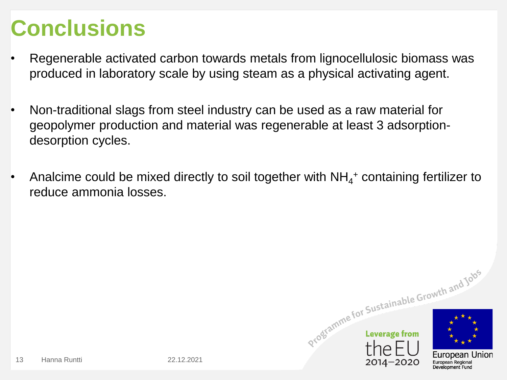# **Conclusions**

- Regenerable activated carbon towards metals from lignocellulosic biomass was produced in laboratory scale by using steam as a physical activating agent.
- Non-traditional slags from steel industry can be used as a raw material for geopolymer production and material was regenerable at least 3 adsorptiondesorption cycles.
- Analcime could be mixed directly to soil together with  $NH_4$ <sup>+</sup> containing fertilizer to reduce ammonia losses.